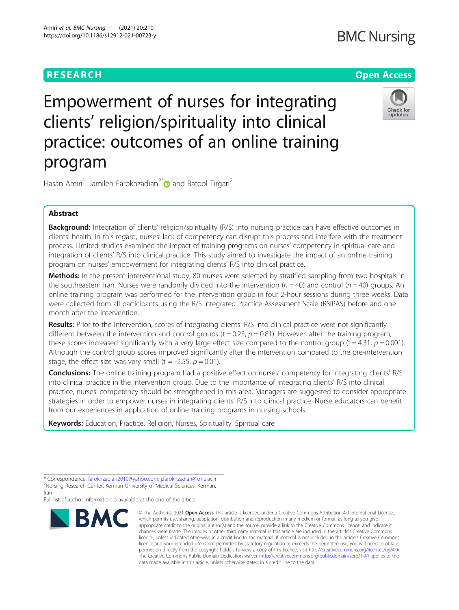# RESEARCH **RESEARCH CONSUMING THE CONSUMING THE CONSUMING THE CONSUMING TENS**

# **BMC Nursing**



Empowerment of nurses for integrating clients' religion/spirituality into clinical practice: outcomes of an online training program

Hasan Amiri<sup>1</sup>, Jamileh Farokhzadian<sup>2[\\*](http://orcid.org/0000-0002-9621-3486)</sup> and Batool Tirgari<sup>2</sup>

# Abstract

**Background:** Integration of clients' religion/spirituality (R/S) into nursing practice can have effective outcomes in clients' health. In this regard, nurses' lack of competency can disrupt this process and interfere with the treatment process. Limited studies examined the impact of training programs on nurses' competency in spiritual care and integration of clients' R/S into clinical practice. This study aimed to investigate the impact of an online training program on nurses' empowerment for integrating clients' R/S into clinical practice.

Methods: In the present interventional study, 80 nurses were selected by stratified sampling from two hospitals in the southeastern Iran. Nurses were randomly divided into the intervention ( $n = 40$ ) and control ( $n = 40$ ) groups. An online training program was performed for the intervention group in four 2-hour sessions during three weeks. Data were collected from all participants using the R/S Integrated Practice Assessment Scale (RSIPAS) before and one month after the intervention.

Results: Prior to the intervention, scores of integrating clients' R/S into clinical practice were not significantly different between the intervention and control groups ( $t = 0.23$ ,  $p = 0.81$ ). However, after the training program, these scores increased significantly with a very large effect size compared to the control group (t = 4.31,  $p = 0.001$ ). Although the control group scores improved significantly after the intervention compared to the pre-intervention stage, the effect size was very small (t = -2.55,  $p = 0.01$ ).

**Conclusions:** The online training program had a positive effect on nurses' competency for integrating clients' R/S into clinical practice in the intervention group. Due to the importance of integrating clients' R/S into clinical practice, nurses' competency should be strengthened in this area. Managers are suggested to consider appropriate strategies in order to empower nurses in integrating clients' R/S into clinical practice. Nurse educators can benefit from our experiences in application of online training programs in nursing schools.

Keywords: Education, Practice, Religion, Nurses, Spirituality, Spiritual care

Iran

Full list of author information is available at the end of the article



<sup>©</sup> The Author(s), 2021 **Open Access** This article is licensed under a Creative Commons Attribution 4.0 International License, which permits use, sharing, adaptation, distribution and reproduction in any medium or format, as long as you give appropriate credit to the original author(s) and the source, provide a link to the Creative Commons licence, and indicate if changes were made. The images or other third party material in this article are included in the article's Creative Commons licence, unless indicated otherwise in a credit line to the material. If material is not included in the article's Creative Commons licence and your intended use is not permitted by statutory regulation or exceeds the permitted use, you will need to obtain permission directly from the copyright holder. To view a copy of this licence, visit [http://creativecommons.org/licenses/by/4.0/.](http://creativecommons.org/licenses/by/4.0/) The Creative Commons Public Domain Dedication waiver [\(http://creativecommons.org/publicdomain/zero/1.0/](http://creativecommons.org/publicdomain/zero/1.0/)) applies to the data made available in this article, unless otherwise stated in a credit line to the data.

<sup>\*</sup> Correspondence: [farokhzadian2010@yahoo.com](mailto:farokhzadian2010@yahoo.com); [j.farokhzadian@kmu.ac.ir](mailto:j.farokhzadian@kmu.ac.ir) <sup>2</sup> <sup>2</sup>Nursing Research Center, Kerman University of Medical Sciences, Kerman,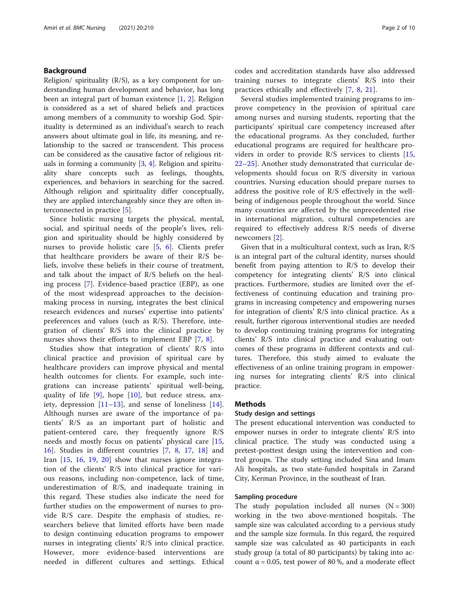# Background

Religion/ spirituality  $(R/S)$ , as a key component for understanding human development and behavior, has long been an integral part of human existence [\[1](#page-8-0), [2\]](#page-8-0). Religion is considered as a set of shared beliefs and practices among members of a community to worship God. Spirituality is determined as an individual's search to reach answers about ultimate goal in life, its meaning, and relationship to the sacred or transcendent. This process can be considered as the causative factor of religious rituals in forming a community [[3,](#page-8-0) [4\]](#page-8-0). Religion and spirituality share concepts such as feelings, thoughts, experiences, and behaviors in searching for the sacred. Although religion and spirituality differ conceptually, they are applied interchangeably since they are often interconnected in practice [\[5\]](#page-8-0).

Since holistic nursing targets the physical, mental, social, and spiritual needs of the people's lives, religion and spirituality should be highly considered by nurses to provide holistic care [\[5](#page-8-0), [6\]](#page-8-0). Clients prefer that healthcare providers be aware of their R/S beliefs, involve these beliefs in their course of treatment, and talk about the impact of R/S beliefs on the healing process [\[7](#page-8-0)]. Evidence-based practice (EBP), as one of the most widespread approaches to the decisionmaking process in nursing, integrates the best clinical research evidences and nurses' expertise into patients' preferences and values (such as R/S). Therefore, integration of clients' R/S into the clinical practice by nurses shows their efforts to implement EBP [\[7](#page-8-0), [8](#page-8-0)].

Studies show that integration of clients' R/S into clinical practice and provision of spiritual care by healthcare providers can improve physical and mental health outcomes for clients. For example, such integrations can increase patients' spiritual well-being, quality of life [\[9](#page-8-0)], hope [[10\]](#page-8-0), but reduce stress, anxiety, depression  $[11–13]$  $[11–13]$  $[11–13]$  $[11–13]$ , and sense of loneliness  $[14]$  $[14]$ . Although nurses are aware of the importance of patients' R/S as an important part of holistic and patient-centered care, they frequently ignore R/S needs and mostly focus on patients' physical care [\[15](#page-8-0), [16\]](#page-8-0). Studies in different countries [\[7](#page-8-0), [8,](#page-8-0) [17](#page-8-0), [18\]](#page-8-0) and Iran [[15,](#page-8-0) [16](#page-8-0), [19,](#page-8-0) [20](#page-8-0)] show that nurses ignore integration of the clients' R/S into clinical practice for various reasons, including non-competence, lack of time, underestimation of R/S, and inadequate training in this regard. These studies also indicate the need for further studies on the empowerment of nurses to provide R/S care. Despite the emphasis of studies, researchers believe that limited efforts have been made to design continuing education programs to empower nurses in integrating clients' R/S into clinical practice. However, more evidence-based interventions are needed in different cultures and settings. Ethical

codes and accreditation standards have also addressed training nurses to integrate clients' R/S into their practices ethically and effectively [[7,](#page-8-0) [8,](#page-8-0) [21](#page-8-0)].

Several studies implemented training programs to improve competency in the provision of spiritual care among nurses and nursing students, reporting that the participants' spiritual care competency increased after the educational programs. As they concluded, further educational programs are required for healthcare providers in order to provide R/S services to clients [\[15](#page-8-0), [22](#page-8-0)–[25\]](#page-8-0). Another study demonstrated that curricular developments should focus on R/S diversity in various countries. Nursing education should prepare nurses to address the positive role of R/S effectively in the wellbeing of indigenous people throughout the world. Since many countries are affected by the unprecedented rise in international migration, cultural competencies are required to effectively address R/S needs of diverse newcomers [[2\]](#page-8-0).

Given that in a multicultural context, such as Iran, R/S is an integral part of the cultural identity, nurses should benefit from paying attention to R/S to develop their competency for integrating clients' R/S into clinical practices. Furthermore, studies are limited over the effectiveness of continuing education and training programs in increasing competency and empowering nurses for integration of clients' R/S into clinical practice. As a result, further rigorous interventional studies are needed to develop continuing training programs for integrating clients' R/S into clinical practice and evaluating outcomes of these programs in different contexts and cultures. Therefore, this study aimed to evaluate the effectiveness of an online training program in empowering nurses for integrating clients' R/S into clinical practice.

#### Methods

#### Study design and settings

The present educational intervention was conducted to empower nurses in order to integrate clients' R/S into clinical practice. The study was conducted using a pretest-posttest design using the intervention and control groups. The study setting included Sina and Imam Ali hospitals, as two state-funded hospitals in Zarand City, Kerman Province, in the southeast of Iran.

#### Sampling procedure

The study population included all nurses  $(N = 300)$ working in the two above-mentioned hospitals. The sample size was calculated according to a pervious study and the sample size formula. In this regard, the required sample size was calculated as 40 participants in each study group (a total of 80 participants) by taking into account  $α = 0.05$ , test power of 80%, and a moderate effect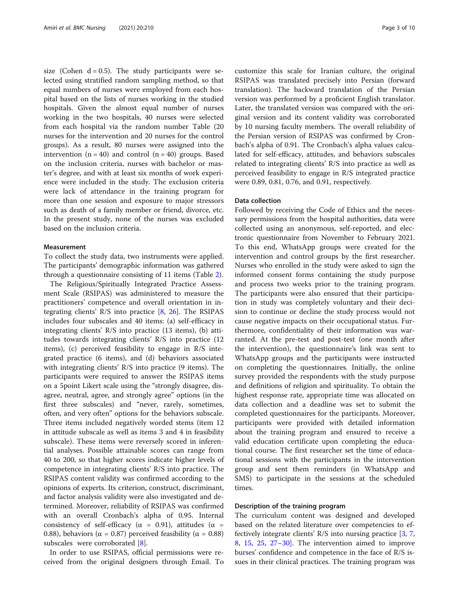size (Cohen  $d = 0.5$ ). The study participants were selected using stratified random sampling method, so that equal numbers of nurses were employed from each hospital based on the lists of nurses working in the studied hospitals. Given the almost equal number of nurses working in the two hospitals, 40 nurses were selected from each hospital via the random number Table (20 nurses for the intervention and 20 nurses for the control groups). As a result, 80 nurses were assigned into the intervention  $(n = 40)$  and control  $(n = 40)$  groups. Based on the inclusion criteria, nurses with bachelor or master's degree, and with at least six months of work experience were included in the study. The exclusion criteria were lack of attendance in the training program for more than one session and exposure to major stressors such as death of a family member or friend, divorce, etc. In the present study, none of the nurses was excluded based on the inclusion criteria.

#### **Measurement**

To collect the study data, two instruments were applied. The participants' demographic information was gathered through a questionnaire consisting of 11 items (Table [2\)](#page-5-0).

The Religious/Spiritually Integrated Practice Assessment Scale (RSIPAS) was administered to measure the practitioners' competence and overall orientation in integrating clients' R/S into practice [[8,](#page-8-0) [26\]](#page-8-0). The RSIPAS includes four subscales and 40 items: (a) self-efficacy in integrating clients' R/S into practice (13 items), (b) attitudes towards integrating clients' R/S into practice (12 items), (c) perceived feasibility to engage in R/S integrated practice (6 items), and (d) behaviors associated with integrating clients' R/S into practice (9 items). The participants were required to answer the RSIPAS items on a 5point Likert scale using the "strongly disagree, disagree, neutral, agree, and strongly agree" options (in the first three subscales) and "never, rarely, sometimes, often, and very often" options for the behaviors subscale. Three items included negatively worded stems (item 12 in attitude subscale as well as items 3 and 4 in feasibility subscale). These items were reversely scored in inferential analyses. Possible attainable scores can range from 40 to 200, so that higher scores indicate higher levels of competence in integrating clients' R/S into practice. The RSIPAS content validity was confirmed according to the opinions of experts. Its criterion, construct, discriminant, and factor analysis validity were also investigated and determined. Moreover, reliability of RSIPAS was confirmed with an overall Cronbach's alpha of 0.95. Internal consistency of self-efficacy ( $\alpha$  = 0.91), attitudes ( $\alpha$  = 0.88), behaviors ( $\alpha = 0.87$ ) perceived feasibility ( $\alpha = 0.88$ ) subscales were corroborated [[8](#page-8-0)].

In order to use RSIPAS, official permissions were received from the original designers through Email. To

customize this scale for Iranian culture, the original RSIPAS was translated precisely into Persian (forward translation). The backward translation of the Persian version was performed by a proficient English translator. Later, the translated version was compared with the original version and its content validity was corroborated by 10 nursing faculty members. The overall reliability of the Persian version of RSIPAS was confirmed by Cronbach's alpha of 0.91. The Cronbach's alpha values calculated for self-efficacy, attitudes, and behaviors subscales related to integrating clients' R/S into practice as well as perceived feasibility to engage in R/S integrated practice were 0.89, 0.81, 0.76, and 0.91, respectively.

#### Data collection

Followed by receiving the Code of Ethics and the necessary permissions from the hospital authorities, data were collected using an anonymous, self-reported, and electronic questionnaire from November to February 2021. To this end, WhatsApp groups were created for the intervention and control groups by the first researcher. Nurses who enrolled in the study were asked to sign the informed consent forms containing the study purpose and process two weeks prior to the training program. The participants were also ensured that their participation in study was completely voluntary and their decision to continue or decline the study process would not cause negative impacts on their occupational status. Furthermore, confidentiality of their information was warranted. At the pre-test and post-test (one month after the intervention), the questionnaire's link was sent to WhatsApp groups and the participants were instructed on completing the questionnaires. Initially, the online survey provided the respondents with the study purpose and definitions of religion and spirituality. To obtain the highest response rate, appropriate time was allocated on data collection and a deadline was set to submit the completed questionnaires for the participants. Moreover, participants were provided with detailed information about the training program and ensured to receive a valid education certificate upon completing the educational course. The first researcher set the time of educational sessions with the participants in the intervention group and sent them reminders (in WhatsApp and SMS) to participate in the sessions at the scheduled times.

#### Description of the training program

The curriculum content was designed and developed based on the related literature over competencies to effectively integrate clients' R/S into nursing practice [\[3](#page-8-0), [7](#page-8-0), [8,](#page-8-0) [15](#page-8-0), [25](#page-8-0), [27](#page-8-0)–[30\]](#page-8-0). The intervention aimed to improve burses' confidence and competence in the face of R/S issues in their clinical practices. The training program was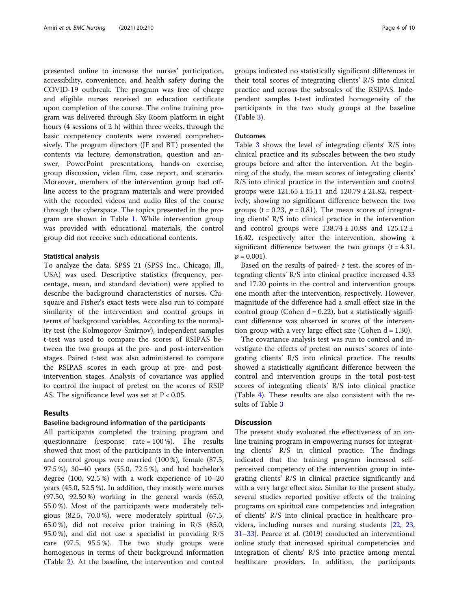presented online to increase the nurses' participation, accessibility, convenience, and health safety during the COVID-19 outbreak. The program was free of charge and eligible nurses received an education certificate upon completion of the course. The online training program was delivered through Sky Room platform in eight hours (4 sessions of 2 h) within three weeks, through the basic competency contents were covered comprehensively. The program directors (JF and BT) presented the contents via lecture, demonstration, question and answer, PowerPoint presentations, hands-on exercise, group discussion, video film, case report, and scenario. Moreover, members of the intervention group had offline access to the program materials and were provided with the recorded videos and audio files of the course through the cyberspace. The topics presented in the program are shown in Table [1.](#page-4-0) While intervention group was provided with educational materials, the control group did not receive such educational contents.

#### Statistical analysis

To analyze the data, SPSS 21 (SPSS Inc., Chicago, Ill., USA) was used. Descriptive statistics (frequency, percentage, mean, and standard deviation) were applied to describe the background characteristics of nurses. Chisquare and Fisher's exact tests were also run to compare similarity of the intervention and control groups in terms of background variables. According to the normality test (the Kolmogorov-Smirnov), independent samples t-test was used to compare the scores of RSIPAS between the two groups at the pre- and post-intervention stages. Paired t-test was also administered to compare the RSIPAS scores in each group at pre- and postintervention stages. Analysis of covariance was applied to control the impact of pretest on the scores of RSIP AS. The significance level was set at  $P < 0.05$ .

# Results

#### Baseline background information of the participants

All participants completed the training program and questionnaire (response rate = 100 %). The results showed that most of the participants in the intervention and control groups were married (100 %), female (87.5, 97.5 %), 30–40 years (55.0, 72.5 %), and had bachelor's degree (100, 92.5 %) with a work experience of 10–20 years (45.0, 52.5 %). In addition, they mostly were nurses (97.50, 92.50 %) working in the general wards (65.0, 55.0 %). Most of the participants were moderately religious (82.5, 70.0 %), were moderately spiritual (67.5, 65.0 %), did not receive prior training in R/S (85.0, 95.0 %), and did not use a specialist in providing R/S care (97.5, 95.5 %). The two study groups were homogenous in terms of their background information (Table [2\)](#page-5-0). At the baseline, the intervention and control groups indicated no statistically significant differences in their total scores of integrating clients' R/S into clinical practice and across the subscales of the RSIPAS. Independent samples t-test indicated homogeneity of the participants in the two study groups at the baseline (Table [3\)](#page-6-0).

#### **Outcomes**

Table [3](#page-6-0) shows the level of integrating clients' R/S into clinical practice and its subscales between the two study groups before and after the intervention. At the beginning of the study, the mean scores of integrating clients' R/S into clinical practice in the intervention and control groups were  $121.65 \pm 15.11$  and  $120.79 \pm 21.82$ , respectively, showing no significant difference between the two groups ( $t = 0.23$ ,  $p = 0.81$ ). The mean scores of integrating clients' R/S into clinical practice in the intervention and control groups were  $138.74 \pm 10.88$  and  $125.12 \pm 10.88$ 16.42, respectively after the intervention, showing a significant difference between the two groups  $(t = 4.31,$  $p = 0.001$ ).

Based on the results of paired-  $t$  test, the scores of integrating clients' R/S into clinical practice increased 4.33 and 17.20 points in the control and intervention groups one month after the intervention, respectively. However, magnitude of the difference had a small effect size in the control group (Cohen  $d = 0.22$ ), but a statistically significant difference was observed in scores of the intervention group with a very large effect size (Cohen  $d = 1.30$ ).

The covariance analysis test was run to control and investigate the effects of pretest on nurses' scores of integrating clients' R/S into clinical practice. The results showed a statistically significant difference between the control and intervention groups in the total post-test scores of integrating clients' R/S into clinical practice (Table [4\)](#page-7-0). These results are also consistent with the results of Table [3](#page-6-0)

#### **Discussion**

The present study evaluated the effectiveness of an online training program in empowering nurses for integrating clients' R/S in clinical practice. The findings indicated that the training program increased selfperceived competency of the intervention group in integrating clients' R/S in clinical practice significantly and with a very large effect size. Similar to the present study, several studies reported positive effects of the training programs on spiritual care competencies and integration of clients' R/S into clinical practice in healthcare providers, including nurses and nursing students [[22](#page-8-0), [23](#page-8-0), [31](#page-8-0)–[33](#page-9-0)]. Pearce et al. (2019) conducted an interventional online study that increased spiritual competencies and integration of clients' R/S into practice among mental healthcare providers. In addition, the participants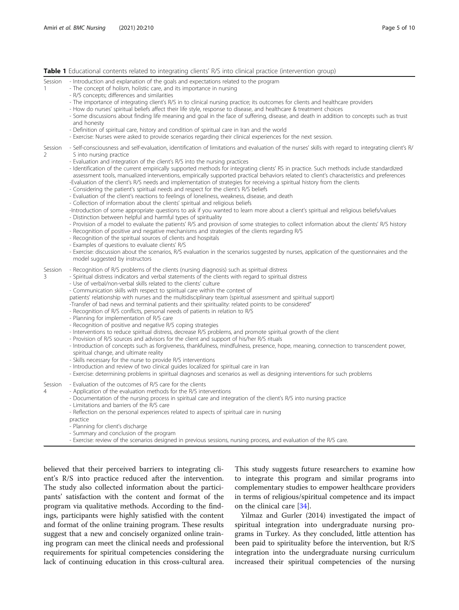<span id="page-4-0"></span>Table 1 Educational contents related to integrating clients' R/S into clinical practice (intervention group)

|                           | <b>Table I</b> Equeditional Contents related to integrating clients by sinto clinical practice (intervention group)                                                                                                                                                                                                                                                                                                                                                                                                                                                                                                                                                                                                                                                                                                                                                                                                                                                                                                                                                                                                                                                                                                                                                                                                                                                                                                                                                                                                                                                                                                                                                                                                                |
|---------------------------|------------------------------------------------------------------------------------------------------------------------------------------------------------------------------------------------------------------------------------------------------------------------------------------------------------------------------------------------------------------------------------------------------------------------------------------------------------------------------------------------------------------------------------------------------------------------------------------------------------------------------------------------------------------------------------------------------------------------------------------------------------------------------------------------------------------------------------------------------------------------------------------------------------------------------------------------------------------------------------------------------------------------------------------------------------------------------------------------------------------------------------------------------------------------------------------------------------------------------------------------------------------------------------------------------------------------------------------------------------------------------------------------------------------------------------------------------------------------------------------------------------------------------------------------------------------------------------------------------------------------------------------------------------------------------------------------------------------------------------|
| Session<br>$\mathbf{1}$   | - Introduction and explanation of the goals and expectations related to the program<br>- The concept of holism, holistic care, and its importance in nursing<br>- R/S concepts; differences and similarities<br>- The importance of integrating client's R/S in to clinical nursing practice; its outcomes for clients and healthcare providers<br>- How do nurses' spiritual beliefs affect their life style, response to disease, and healthcare & treatment choices<br>- Some discussions about finding life meaning and goal in the face of suffering, disease, and death in addition to concepts such as trust<br>and honesty<br>- Definition of spiritual care, history and condition of spiritual care in Iran and the world<br>- Exercise: Nurses were asked to provide scenarios regarding their clinical experiences for the next session.                                                                                                                                                                                                                                                                                                                                                                                                                                                                                                                                                                                                                                                                                                                                                                                                                                                                               |
| Session<br>$\overline{2}$ | - Self-consciousness and self-evaluation, identification of limitations and evaluation of the nurses' skills with regard to integrating client's R<br>S into nursing practice<br>- Evaluation and integration of the client's R/S into the nursing practices<br>- Identification of the current empirically supported methods for integrating clients' RS in practice. Such methods include standardized<br>assessment tools, manualized interventions, empirically supported practical behaviors related to client's characteristics and preferences<br>-Evaluation of the client's R/S needs and implementation of strategies for receiving a spiritual history from the clients<br>- Considering the patient's spiritual needs and respect for the client's R/S beliefs<br>- Evaluation of the client's reactions to feelings of loneliness, weakness, disease, and death<br>- Collection of information about the clients' spiritual and religious beliefs<br>-Introduction of some appropriate questions to ask if you wanted to learn more about a client's spiritual and religious beliefs/values<br>- Distinction between helpful and harmful types of spirituality<br>- Provision of a model to evaluate the patients' R/S and provision of some strategies to collect information about the clients' R/S history<br>- Recognition of positive and negative mechanisms and strategies of the clients regarding R/S<br>- Recognition of the spiritual sources of clients and hospitals<br>- Examples of questions to evaluate clients' R/S<br>- Exercise: discussion about the scenarios, R/S evaluation in the scenarios suggested by nurses, application of the questionnaires and the<br>model suggested by instructors |
| Session<br>3              | - Recognition of R/S problems of the clients (nursing diagnosis) such as spiritual distress<br>- Spiritual distress indicators and verbal statements of the clients with regard to spiritual distress<br>- Use of verbal/non-verbal skills related to the clients' culture<br>- Communication skills with respect to spiritual care within the context of<br>patients' relationship with nurses and the multidisciplinary team (spiritual assessment and spiritual support)<br>-Transfer of bad news and terminal patients and their spirituality: related points to be considered"<br>- Recognition of R/S conflicts, personal needs of patients in relation to R/S<br>- Planning for implementation of R/S care<br>- Recognition of positive and negative R/S coping strategies<br>- Interventions to reduce spiritual distress, decrease R/S problems, and promote spiritual growth of the client<br>- Provision of R/S sources and advisors for the client and support of his/her R/S rituals<br>- Introduction of concepts such as forgiveness, thankfulness, mindfulness, presence, hope, meaning, connection to transcendent power,<br>spiritual change, and ultimate reality<br>- Skills necessary for the nurse to provide R/S interventions<br>- Introduction and review of two clinical guides localized for spiritual care in Iran<br>- Exercise: determining problems in spiritual diagnoses and scenarios as well as designing interventions for such problems                                                                                                                                                                                                                                                       |
| Session<br>$\overline{4}$ | - Evaluation of the outcomes of R/S care for the clients<br>- Application of the evaluation methods for the R/S interventions<br>- Documentation of the nursing process in spiritual care and integration of the client's R/S into nursing practice<br>- Limitations and barriers of the R/S care<br>- Reflection on the personal experiences related to aspects of spiritual care in nursing<br>practice<br>- Planning for client's discharge<br>- Summary and conclusion of the program<br>Evercica: rayiou of the conories designed in provious sessions, pursing process and ovaluation of the B/S care                                                                                                                                                                                                                                                                                                                                                                                                                                                                                                                                                                                                                                                                                                                                                                                                                                                                                                                                                                                                                                                                                                                        |

se: review of the scenarios designed in previous sessions, nursing process, and evaluation of the R/S care.

believed that their perceived barriers to integrating client's R/S into practice reduced after the intervention. The study also collected information about the participants' satisfaction with the content and format of the program via qualitative methods. According to the findings, participants were highly satisfied with the content and format of the online training program. These results suggest that a new and concisely organized online training program can meet the clinical needs and professional requirements for spiritual competencies considering the lack of continuing education in this cross-cultural area.

This study suggests future researchers to examine how to integrate this program and similar programs into complementary studies to empower healthcare providers in terms of religious/spiritual competence and its impact on the clinical care [[34\]](#page-9-0).

Yilmaz and Gurler (2014) investigated the impact of spiritual integration into undergraduate nursing programs in Turkey. As they concluded, little attention has been paid to spirituality before the intervention, but R/S integration into the undergraduate nursing curriculum increased their spiritual competencies of the nursing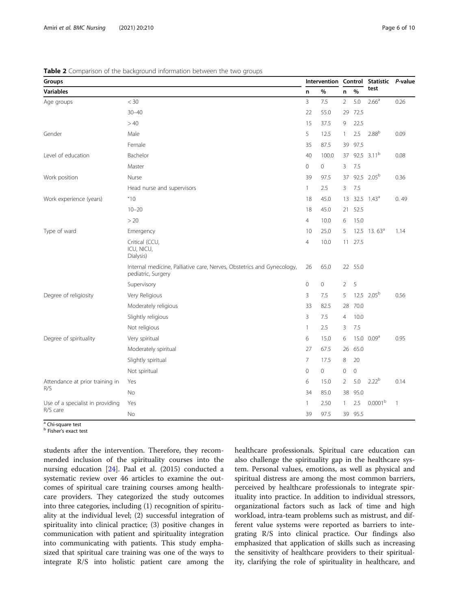<span id="page-5-0"></span>

| Table 2 Comparison of the background information between the two groups |  |  |  |  |  |
|-------------------------------------------------------------------------|--|--|--|--|--|
|-------------------------------------------------------------------------|--|--|--|--|--|

| Groups                           |                                                                                              |                |       |                | Intervention Control | Statistic P-value         |              |
|----------------------------------|----------------------------------------------------------------------------------------------|----------------|-------|----------------|----------------------|---------------------------|--------------|
| <b>Variables</b><br>n            |                                                                                              |                | $\%$  | n              | $\frac{9}{6}$        | test                      |              |
| Age groups                       | $<$ 30                                                                                       | 3              | 7.5   | $\overline{2}$ | 5.0                  | 2.66 <sup>a</sup>         | 0.26         |
|                                  | $30 - 40$                                                                                    | 22             | 55.0  | 29             | 72.5                 |                           |              |
|                                  | >40                                                                                          | 15             | 37.5  | 9              | 22.5                 |                           |              |
| Gender                           | Male                                                                                         | 5              | 12.5  | 1              | 2.5                  | 2.88 <sup>b</sup>         | 0.09         |
|                                  | Female                                                                                       | 35             | 87.5  | 39             | 97.5                 |                           |              |
| Level of education               | Bachelor                                                                                     | 40             | 100.0 | 37             |                      | 92.5 $3.11^b$             | 0.08         |
|                                  | Master                                                                                       | $\mathbf{0}$   | 0     | 3              | 7.5                  |                           |              |
| Work position                    | Nurse                                                                                        | 39             | 97.5  | 37             |                      | 92.5 2.05 <sup>b</sup>    | 0.36         |
|                                  | Head nurse and supervisors                                                                   | $\mathbf{1}$   | 2.5   | 3              | 7.5                  |                           |              |
| Work experience (years)          | 10                                                                                           | 18             | 45.0  | 13             |                      | $32.5$ $1.43^a$           | 0.49         |
|                                  | $10 - 20$                                                                                    | 18             | 45.0  | 21             | 52.5                 |                           |              |
|                                  | > 20                                                                                         | $\overline{4}$ | 10.0  | 6              | 15.0                 |                           |              |
| Type of ward                     | Emergency                                                                                    | 10             | 25.0  | .5             |                      | $12.5$ 13.63 <sup>a</sup> | 1.14         |
|                                  | Critical (CCU,<br>ICU, NICU,<br>Dialysis)                                                    | $\overline{4}$ | 10.0  | 11             | 27.5                 |                           |              |
|                                  | Internal medicine, Palliative care, Nerves, Obstetrics and Gynecology,<br>pediatric, Surgery | 26             | 65.0  |                | 22 55.0              |                           |              |
|                                  | Supervisory                                                                                  | $\circ$        | 0     | $\overline{2}$ | 5                    |                           |              |
| Degree of religiosity            | Very Religious                                                                               | 3              | 7.5   | 5              |                      | $12.5$ 2.05 <sup>b</sup>  | 0.56         |
|                                  | Moderately religious                                                                         | 33             | 82.5  | 28             | 70.0                 |                           |              |
|                                  | Slightly religious                                                                           | 3              | 7.5   | $\overline{4}$ | 10.0                 |                           |              |
|                                  | Not religious                                                                                | $\mathbf{1}$   | 2.5   | 3              | 7.5                  |                           |              |
| Degree of spirituality           | Very spiritual                                                                               | 6              | 15.0  | 6              | 15.0                 | 0.09 <sup>a</sup>         | 0.95         |
|                                  | Moderately spiritual                                                                         | 27             | 67.5  | 26             | 65.0                 |                           |              |
|                                  | Slightly spiritual                                                                           | $\overline{7}$ | 17.5  | 8              | 20                   |                           |              |
|                                  | Not spiritual                                                                                | $\mathbf{0}$   | 0     | $\mathbf 0$    | $\mathbf 0$          |                           |              |
| Attendance at prior training in  | Yes                                                                                          | 6              | 15.0  | 2              | 5.0                  | 2.22 <sup>b</sup>         | 0.14         |
| R/S                              | <b>No</b>                                                                                    | 34             | 85.0  | 38             | 95.0                 |                           |              |
| Use of a specialist in providing | Yes                                                                                          | $\mathbf{1}$   | 2.50  | $\mathbf{1}$   | 2.5                  | 0.0001 <sup>b</sup>       | $\mathbf{1}$ |
| R/S care                         | <b>No</b>                                                                                    | 39             | 97.5  | 39             | 95.5                 |                           |              |

<sup>a</sup> Chi-square test

**b** Fisher's exact test

students after the intervention. Therefore, they recommended inclusion of the spirituality courses into the nursing education [\[24](#page-8-0)]. Paal et al. (2015) conducted a systematic review over 46 articles to examine the outcomes of spiritual care training courses among healthcare providers. They categorized the study outcomes into three categories, including (1) recognition of spirituality at the individual level; (2) successful integration of spirituality into clinical practice; (3) positive changes in communication with patient and spirituality integration into communicating with patients. This study emphasized that spiritual care training was one of the ways to integrate R/S into holistic patient care among the healthcare professionals. Spiritual care education can also challenge the spirituality gap in the healthcare system. Personal values, emotions, as well as physical and spiritual distress are among the most common barriers, perceived by healthcare professionals to integrate spirituality into practice. In addition to individual stressors, organizational factors such as lack of time and high workload, intra-team problems such as mistrust, and different value systems were reported as barriers to integrating R/S into clinical practice. Our findings also emphasized that application of skills such as increasing the sensitivity of healthcare providers to their spirituality, clarifying the role of spirituality in healthcare, and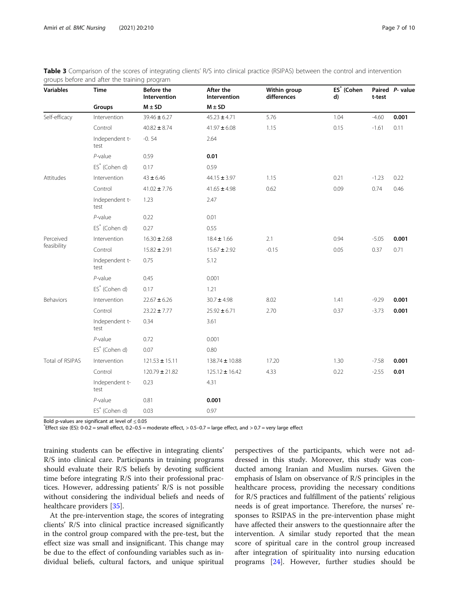| <b>Variables</b> | <b>Time</b>            | Before the<br>Intervention | After the<br>Intervention | Within group<br>differences | ES <sup>*</sup> (Cohen<br>d) | t-test  | Paired P- value |
|------------------|------------------------|----------------------------|---------------------------|-----------------------------|------------------------------|---------|-----------------|
|                  | Groups                 | $M \pm SD$                 | $M \pm SD$                |                             |                              |         |                 |
| Self-efficacy    | Intervention           | $39.46 \pm 6.27$           | $45.23 \pm 4.71$          | 5.76                        | 1.04                         | $-4.60$ | 0.001           |
|                  | Control                | $40.82 \pm 8.74$           | $41.97 \pm 6.08$          | 1.15                        | 0.15                         | $-1.61$ | 0.11            |
|                  | Independent t-<br>test | $-0.54$                    | 2.64                      |                             |                              |         |                 |
|                  | $P$ -value             | 0.59                       | 0.01                      |                             |                              |         |                 |
|                  | $ES^*$ (Cohen d)       | 0.17                       | 0.59                      |                             |                              |         |                 |
| Attitudes        | Intervention           | $43 + 6.46$                | $44.15 \pm 3.97$          | 1.15                        | 0.21                         | $-1.23$ | 0.22            |
|                  | Control                | $41.02 \pm 7.76$           | $41.65 \pm 4.98$          | 0.62                        | 0.09                         | 0.74    | 0.46            |
|                  | Independent t-<br>test | 1.23                       | 2.47                      |                             |                              |         |                 |
|                  | $P$ -value             | 0.22                       | 0.01                      |                             |                              |         |                 |
|                  | $ES^*$ (Cohen d)       | 0.27                       | 0.55                      |                             |                              |         |                 |
| Perceived        | Intervention           | $16.30 \pm 2.68$           | $18.4 \pm 1.66$           | 2.1                         | 0.94                         | $-5.05$ | 0.001           |
| feasibility      | Control                | $15.82 \pm 2.91$           | $15.67 \pm 2.92$          | $-0.15$                     | 0.05                         | 0.37    | 0.71            |
|                  | Independent t-<br>test | 0.75                       | 5.12                      |                             |                              |         |                 |
|                  | $P$ -value             | 0.45                       | 0.001                     |                             |                              |         |                 |
|                  | $ES^*$ (Cohen d)       | 0.17                       | 1.21                      |                             |                              |         |                 |
| Behaviors        | Intervention           | $22.67 \pm 6.26$           | $30.7 \pm 4.98$           | 8.02                        | 1.41                         | $-9.29$ | 0.001           |
|                  | Control                | $23.22 \pm 7.77$           | $25.92 \pm 6.71$          | 2.70                        | 0.37                         | $-3.73$ | 0.001           |
|                  | Independent t-<br>test | 0.34                       | 3.61                      |                             |                              |         |                 |
|                  | $P$ -value             | 0.72                       | 0.001                     |                             |                              |         |                 |
|                  | $ES*$ (Cohen d)        | 0.07                       | 0.80                      |                             |                              |         |                 |
| Total of RSIPAS  | Intervention           | $121.53 \pm 15.11$         | 138.74 ± 10.88            | 17.20                       | 1.30                         | $-7.58$ | 0.001           |
|                  | Control                | $120.79 \pm 21.82$         | $125.12 \pm 16.42$        | 4.33                        | 0.22                         | $-2.55$ | 0.01            |
|                  | Independent t-<br>test | 0.23                       | 4.31                      |                             |                              |         |                 |
|                  | $P$ -value             | 0.81                       | 0.001                     |                             |                              |         |                 |
|                  | $ES^*$ (Cohen d)       | 0.03                       | 0.97                      |                             |                              |         |                 |

<span id="page-6-0"></span>

| Table 3 Comparison of the scores of integrating clients' R/S into clinical practice (RSIPAS) between the control and intervention |  |  |  |
|-----------------------------------------------------------------------------------------------------------------------------------|--|--|--|
| groups before and after the training program                                                                                      |  |  |  |

Bold p-values are significant at level of  $\leq 0.05$ 

Effect size (ES): 0-0.2 = small effect, 0.2–0.5 = moderate effect, > 0.5–0.7 = large effect, and > 0.7 = very large effect

training students can be effective in integrating clients' R/S into clinical care. Participants in training programs should evaluate their R/S beliefs by devoting sufficient time before integrating R/S into their professional practices. However, addressing patients' R/S is not possible without considering the individual beliefs and needs of healthcare providers [[35\]](#page-9-0).

At the pre-intervention stage, the scores of integrating clients' R/S into clinical practice increased significantly in the control group compared with the pre-test, but the effect size was small and insignificant. This change may be due to the effect of confounding variables such as individual beliefs, cultural factors, and unique spiritual

perspectives of the participants, which were not addressed in this study. Moreover, this study was conducted among Iranian and Muslim nurses. Given the emphasis of Islam on observance of R/S principles in the healthcare process, providing the necessary conditions for R/S practices and fulfillment of the patients' religious needs is of great importance. Therefore, the nurses' responses to RSIPAS in the pre-intervention phase might have affected their answers to the questionnaire after the intervention. A similar study reported that the mean score of spiritual care in the control group increased after integration of spirituality into nursing education programs [\[24\]](#page-8-0). However, further studies should be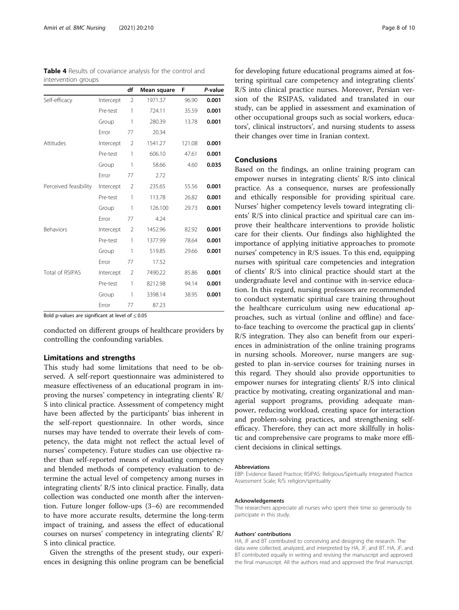|                       |           | df             | Mean square | F      | P-value |
|-----------------------|-----------|----------------|-------------|--------|---------|
| Self-efficacy         | Intercept | $\overline{2}$ | 1971.37     | 96.90  | 0.001   |
|                       | Pre-test  | 1              | 724.11      | 35.59  | 0.001   |
|                       | Group     | 1              | 280.39      | 13.78  | 0.001   |
|                       | Error     | 77             | 20.34       |        |         |
| Attitudes             | Intercept | $\overline{2}$ | 1541.27     | 121.08 | 0.001   |
|                       | Pre-test  | 1              | 606.10      | 47.61  | 0.001   |
|                       | Group     | 1              | 58.66       | 4.60   | 0.035   |
|                       | Error     | 77             | 2.72        |        |         |
| Perceived feasibility | Intercept | 2              | 235.65      | 55.56  | 0.001   |
|                       | Pre-test  | 1              | 113.78      | 26.82  | 0.001   |
|                       | Group     | 1              | 126.100     | 29.73  | 0.001   |
|                       | Error     | 77             | 4.24        |        |         |
| Behaviors             | Intercept | $\overline{2}$ | 1452.96     | 82.92  | 0.001   |
|                       | Pre-test  | 1              | 1377.99     | 78.64  | 0.001   |
|                       | Group     | 1              | 519.85      | 29.66  | 0.001   |
|                       | Error     | 77             | 17.52       |        |         |
| Total of RSIPAS       | Intercept | $\overline{2}$ | 7490.22     | 85.86  | 0.001   |
|                       | Pre-test  | 1              | 8212.98     | 94.14  | 0.001   |
|                       | Group     | 1              | 3398.14     | 38.95  | 0.001   |
|                       | Error     | 77             | 87.23       |        |         |

<span id="page-7-0"></span>Table 4 Results of covariance analysis for the control and intervention groups

Bold p-values are significant at level of  $\leq 0.05$ 

conducted on different groups of healthcare providers by controlling the confounding variables.

# Limitations and strengths

This study had some limitations that need to be observed. A self-report questionnaire was administered to measure effectiveness of an educational program in improving the nurses' competency in integrating clients' R/ S into clinical practice. Assessment of competency might have been affected by the participants' bias inherent in the self-report questionnaire. In other words, since nurses may have tended to overrate their levels of competency, the data might not reflect the actual level of nurses' competency. Future studies can use objective rather than self-reported means of evaluating competency and blended methods of competency evaluation to determine the actual level of competency among nurses in integrating clients' R/S into clinical practice. Finally, data collection was conducted one month after the intervention. Future longer follow-ups (3–6) are recommended to have more accurate results, determine the long-term impact of training, and assess the effect of educational courses on nurses' competency in integrating clients' R/ S into clinical practice.

Given the strengths of the present study, our experiences in designing this online program can be beneficial for developing future educational programs aimed at fostering spiritual care competency and integrating clients' R/S into clinical practice nurses. Moreover, Persian version of the RSIPAS, validated and translated in our study, can be applied in assessment and examination of other occupational groups such as social workers, educators', clinical instructors', and nursing students to assess their changes over time in Iranian context.

### Conclusions

Based on the findings, an online training program can empower nurses in integrating clients' R/S into clinical practice. As a consequence, nurses are professionally and ethically responsible for providing spiritual care. Nurses' higher competency levels toward integrating clients' R/S into clinical practice and spiritual care can improve their healthcare interventions to provide holistic care for their clients. Our findings also highlighted the importance of applying initiative approaches to promote nurses' competency in R/S issues. To this end, equipping nurses with spiritual care competencies and integration of clients' R/S into clinical practice should start at the undergraduate level and continue with in-service education. In this regard, nursing professors are recommended to conduct systematic spiritual care training throughout the healthcare curriculum using new educational approaches, such as virtual (online and offline) and faceto-face teaching to overcome the practical gap in clients' R/S integration. They also can benefit from our experiences in administration of the online training programs in nursing schools. Moreover, nurse mangers are suggested to plan in-service courses for training nurses in this regard. They should also provide opportunities to empower nurses for integrating clients' R/S into clinical practice by motivating, creating organizational and managerial support programs, providing adequate manpower, reducing workload, creating space for interaction and problem-solving practices, and strengthening selfefficacy. Therefore, they can act more skillfully in holistic and comprehensive care programs to make more efficient decisions in clinical settings.

#### Abbreviations

EBP: Evidence Based Practice; RSIPAS: Religious/Spiritually Integrated Practice Assessment Scale; R/S: religion/spirituality

#### Acknowledgements

The researchers appreciate all nurses who spent their time so generously to participate in this study.

#### Authors' contributions

HA, JF and BT contributed to conceiving and designing the research. The data were collected, analyzed, and interpreted by HA, JF, and BT. HA, JF, and BT contributed equally in writing and revising the manuscript and approved the final manuscript. All the authors read and approved the final manuscript.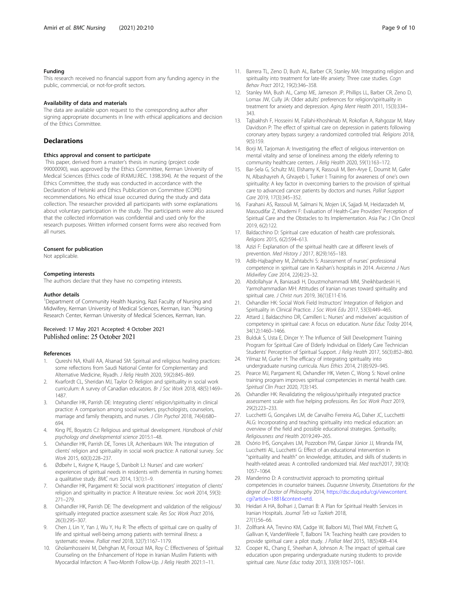#### <span id="page-8-0"></span>Funding

This research received no financial support from any funding agency in the public, commercial, or not-for-profit sectors.

#### Availability of data and materials

The data are available upon request to the corresponding author after signing appropriate documents in line with ethical applications and decision of the Ethics Committee.

### **Declarations**

#### Ethics approval and consent to participate

This paper, derived from a master's thesis in nursing (project code 99000090), was approved by the Ethics Committee, Kerman University of Medical Sciences (Ethics code of IR.KMU.REC. 1398.394). At the request of the Ethics Committee, the study was conducted in accordance with the Declaration of Helsinki and Ethics Publication on Committee (COPE) recommendations. No ethical issue occurred during the study and data collection. The researcher provided all participants with some explanations about voluntary participation in the study. The participants were also assured that the collected information was confidential and used only for the research purposes. Written informed consent forms were also received from all nurses.

#### Consent for publication

Not applicable.

#### Competing interests

The authors declare that they have no competing interests.

#### Author details

<sup>1</sup>Department of Community Health Nursing, Razi Faculty of Nursing and Midwifery, Kerman University of Medical Sciences, Kerman, Iran. <sup>2</sup>Nursing Research Center, Kerman University of Medical Sciences, Kerman, Iran.

#### Received: 17 May 2021 Accepted: 4 October 2021 Published online: 25 October 2021

#### References

- 1. Qureshi NA, Khalil AA, Alsanad SM: Spiritual and religious healing practices: some reflections from Saudi National Center for Complementary and Alternative Medicine, Riyadh. J Relig Health 2020, 59(2):845–869.
- 2. Kvarfordt CL, Sheridan MJ, Taylor O: Religion and spirituality in social work curriculum: A survey of Canadian educators. Br J Soc Work 2018, 48(5):1469– 1487.
- 3. Oxhandler HK, Parrish DE: Integrating clients' religion/spirituality in clinical practice: A comparison among social workers, psychologists, counselors, marriage and family therapists, and nurses. J Clin Psychol 2018, 74(4):680– 694.
- 4. King PE, Boyatzis CJ: Religious and spiritual development. Handbook of child psychology and developmental science 2015:1–48.
- 5. Oxhandler HK, Parrish DE, Torres LR, Achenbaum WA: The integration of clients' religion and spirituality in social work practice: A national survey. Soc Work 2015, 60(3):228–237.
- 6. Ødbehr L, Kvigne K, Hauge S, Danbolt LJ: Nurses' and care workers' experiences of spiritual needs in residents with dementia in nursing homes: a qualitative study. BMC nurs 2014, 13(1):1–9.
- 7. Oxhandler HK, Pargament KI: Social work practitioners' integration of clients' religion and spirituality in practice: A literature review. Soc work 2014, 59(3): 271–279.
- 8. Oxhandler HK, Parrish DE: The development and validation of the religious/ spiritually integrated practice assessment scale. Res Soc Work Pract 2016, 26(3):295–307.
- 9. Chen J, Lin Y, Yan J, Wu Y, Hu R: The effects of spiritual care on quality of life and spiritual well-being among patients with terminal illness: a systematic review. Palliat med 2018, 32(7):1167–1179.
- 10. Gholamhosseini M, Dehghan M, Forouzi MA, Roy C: Effectiveness of Spiritual Counseling on the Enhancement of Hope in Iranian Muslim Patients with Myocardial Infarction: A Two-Month Follow-Up. J Relig Health 2021:1–11.
- 11. Barrera TL, Zeno D, Bush AL, Barber CR, Stanley MA: Integrating religion and spirituality into treatment for late-life anxiety: Three case studies. Cogn Behav Pract 2012, 19(2):346–358.
- 12. Stanley MA, Bush AL, Camp ME, Jameson JP, Phillips LL, Barber CR, Zeno D, Lomax JW, Cully JA: Older adults' preferences for religion/spirituality in treatment for anxiety and depression. Aging Ment Health 2011, 15(3):334– 343.
- 13. Tajbakhsh F, Hosseini M, Fallahi-Khoshknab M, Rokofian A, Rahgozar M, Mary Davidson P: The effect of spiritual care on depression in patients following coronary artery bypass surgery: a randomized controlled trial. Religions 2018,  $9(5) \cdot 159$
- 14. Borii M, Tarioman A: Investigating the effect of religious intervention on mental vitality and sense of loneliness among the elderly referring to community healthcare centers. J Relig Health 2020, 59(1):163–172.
- 15. Bar-Sela G, Schultz MJ, Elshamy K, Rassouli M, Ben-Arye E, Doumit M, Gafer N, Albashayreh A, Ghrayeb I, Turker I: Training for awareness of one's own spirituality: A key factor in overcoming barriers to the provision of spiritual care to advanced cancer patients by doctors and nurses. Palliat Support Care 2019, 17(3):345–352.
- 16. Farahani AS, Rassouli M, Salmani N, Mojen LK, Sajjadi M, Heidarzadeh M, Masoudifar Z, Khademi F: Evaluation of Health-Care Providers' Perception of Spiritual Care and the Obstacles to Its Implementation. Asia Pac J Clin Oncol 2019, 6(2):122.
- 17. Baldacchino D: Spiritual care education of health care professionals. Religions 2015, 6(2):594–613.
- 18. Azizi F: Explanation of the spiritual health care at different levels of prevention. Med History J 2017, 8(29):165–183.
- 19. Adib-Hajbaghery M, Zehtabchi S: Assessment of nurses' professional competence in spiritual care in Kashan's hospitals in 2014. Avicenna J Nurs Midwifery Care 2014, 22(4):23–32.
- 20. Abdollahyar A, Baniasadi H, Doustmohammadi MM, Sheikhbardesiri H, Yarmohammadian MH: Attitudes of Iranian nurses toward spirituality and spiritual care. J Christ nurs 2019, 36(1):E11-E16.
- 21. Oxhandler HK: Social Work Field Instructors' Integration of Religion and Spirituality in Clinical Practice. J Soc Work Edu 2017, 53(3):449–465.
- 22. Attard J, Baldacchino DR, Camilleri L: Nurses' and midwives' acquisition of competency in spiritual care: A focus on education. Nurse Educ Today 2014, 34(12):1460–1466.
- 23. Bulduk S, Usta E, Dinçer Y: The Influence of Skill Development Training Program for Spiritual Care of Elderly Individual on Elderly Care Technician Students' Perception of Spiritual Support. J Relig Health 2017, 56(3):852–860.
- 24. Yilmaz M, Gurler H: The efficacy of integrating spirituality into undergraduate nursing curricula. Nurs Ethics 2014, 21(8):929–945.
- 25. Pearce MJ, Pargament KI, Oxhandler HK, Vieten C, Wong S: Novel online training program improves spiritual competencies in mental health care. Spiritual Clin Pract 2020, 7(3):145.
- 26. Oxhandler HK: Revalidating the religious/spiritually integrated practice assessment scale with five helping professions. Res Soc Work Pract 2019, 29(2):223–233.
- 27. Lucchetti G, Gonçalves LM, de Carvalho Ferreira AG, Daher JC, Lucchetti ALG: Incorporating and teaching spirituality into medical education: an overview of the field and possible educational strategies. Spirituality, Religiousness and Health 2019:249–265.
- 28. Osório IHS, Gonçalves LM, Pozzobon PM, Gaspar Júnior JJ, Miranda FM, Lucchetti AL, Lucchetti G: Effect of an educational intervention in "spirituality and health" on knowledge, attitudes, and skills of students in health-related areas: A controlled randomized trial. Med teach2017, 39(10): 1057–1064.
- 29. Manderino D: A constructivist approach to promoting spiritual competencies in counselor trainees. Duquesne University, Dissertations for the degree of Doctor of Philosophy 2014, [https://dsc.duq.edu/cgi/viewcontent.](https://dsc.duq.edu/cgi/viewcontent.cgi?article=1881&context=etd) [cgi?article=1881&context=etd.](https://dsc.duq.edu/cgi/viewcontent.cgi?article=1881&context=etd)
- 30. Heidari A HA, Bolhari J, Damari B: A Plan for Spiritual Health Services in Iranian Hospitals. Journal Teb va Tazkieh 2018, 27(1):56–66.
- 31. Zollfrank AA, Trevino KM, Cadge W, Balboni MJ, Thiel MM, Fitchett G, Gallivan K, VanderWeele T, Balboni TA: Teaching health care providers to provide spiritual care: a pilot study. J Palliat Med 2015, 18(5):408–414.
- 32. Cooper KL, Chang E, Sheehan A, Johnson A: The impact of spiritual care education upon preparing undergraduate nursing students to provide spiritual care. Nurse Educ today 2013, 33(9):1057–1061.